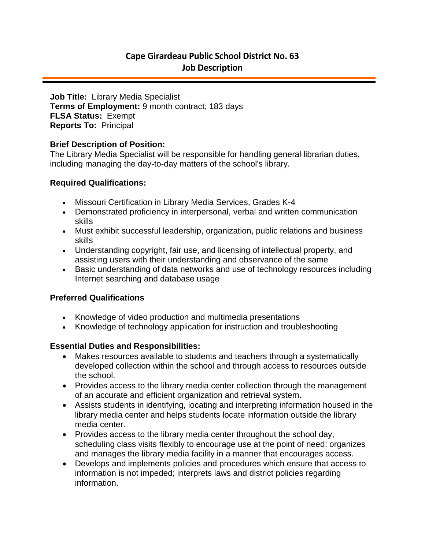# **Cape Girardeau Public School District No. 63 Job Description**

**Job Title:** Library Media Specialist **Terms of Employment:** 9 month contract; 183 days **FLSA Status:** Exempt **Reports To:** Principal

#### **Brief Description of Position:**

The Library Media Specialist will be responsible for handling general librarian duties, including managing the day-to-day matters of the school's library.

#### **Required Qualifications:**

- Missouri Certification in Library Media Services, Grades K-4
- Demonstrated proficiency in interpersonal, verbal and written communication skills
- Must exhibit successful leadership, organization, public relations and business skills
- Understanding copyright, fair use, and licensing of intellectual property, and assisting users with their understanding and observance of the same
- Basic understanding of data networks and use of technology resources including Internet searching and database usage

## **Preferred Qualifications**

- Knowledge of video production and multimedia presentations
- Knowledge of technology application for instruction and troubleshooting

## **Essential Duties and Responsibilities:**

- Makes resources available to students and teachers through a systematically developed collection within the school and through access to resources outside the school.
- Provides access to the library media center collection through the management of an accurate and efficient organization and retrieval system.
- Assists students in identifying, locating and interpreting information housed in the library media center and helps students locate information outside the library media center.
- Provides access to the library media center throughout the school day, scheduling class visits flexibly to encourage use at the point of need: organizes and manages the library media facility in a manner that encourages access.
- Develops and implements policies and procedures which ensure that access to information is not impeded; interprets laws and district policies regarding information.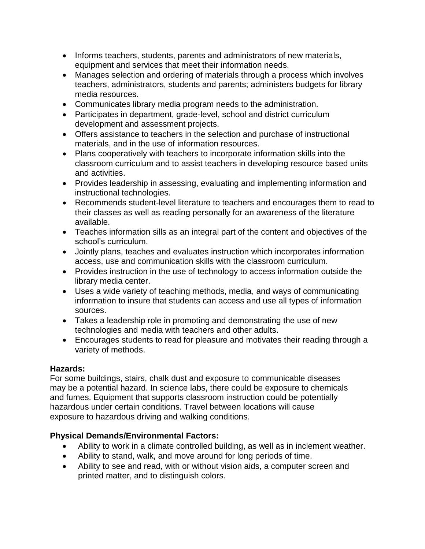- Informs teachers, students, parents and administrators of new materials, equipment and services that meet their information needs.
- Manages selection and ordering of materials through a process which involves teachers, administrators, students and parents; administers budgets for library media resources.
- Communicates library media program needs to the administration.
- Participates in department, grade-level, school and district curriculum development and assessment projects.
- Offers assistance to teachers in the selection and purchase of instructional materials, and in the use of information resources.
- Plans cooperatively with teachers to incorporate information skills into the classroom curriculum and to assist teachers in developing resource based units and activities.
- Provides leadership in assessing, evaluating and implementing information and instructional technologies.
- Recommends student-level literature to teachers and encourages them to read to their classes as well as reading personally for an awareness of the literature available.
- Teaches information sills as an integral part of the content and objectives of the school's curriculum.
- Jointly plans, teaches and evaluates instruction which incorporates information access, use and communication skills with the classroom curriculum.
- Provides instruction in the use of technology to access information outside the library media center.
- Uses a wide variety of teaching methods, media, and ways of communicating information to insure that students can access and use all types of information sources.
- Takes a leadership role in promoting and demonstrating the use of new technologies and media with teachers and other adults.
- Encourages students to read for pleasure and motivates their reading through a variety of methods.

# **Hazards:**

For some buildings, stairs, chalk dust and exposure to communicable diseases may be a potential hazard. In science labs, there could be exposure to chemicals and fumes. Equipment that supports classroom instruction could be potentially hazardous under certain conditions. Travel between locations will cause exposure to hazardous driving and walking conditions.

# **Physical Demands/Environmental Factors:**

- Ability to work in a climate controlled building, as well as in inclement weather.
- Ability to stand, walk, and move around for long periods of time.
- Ability to see and read, with or without vision aids, a computer screen and printed matter, and to distinguish colors.